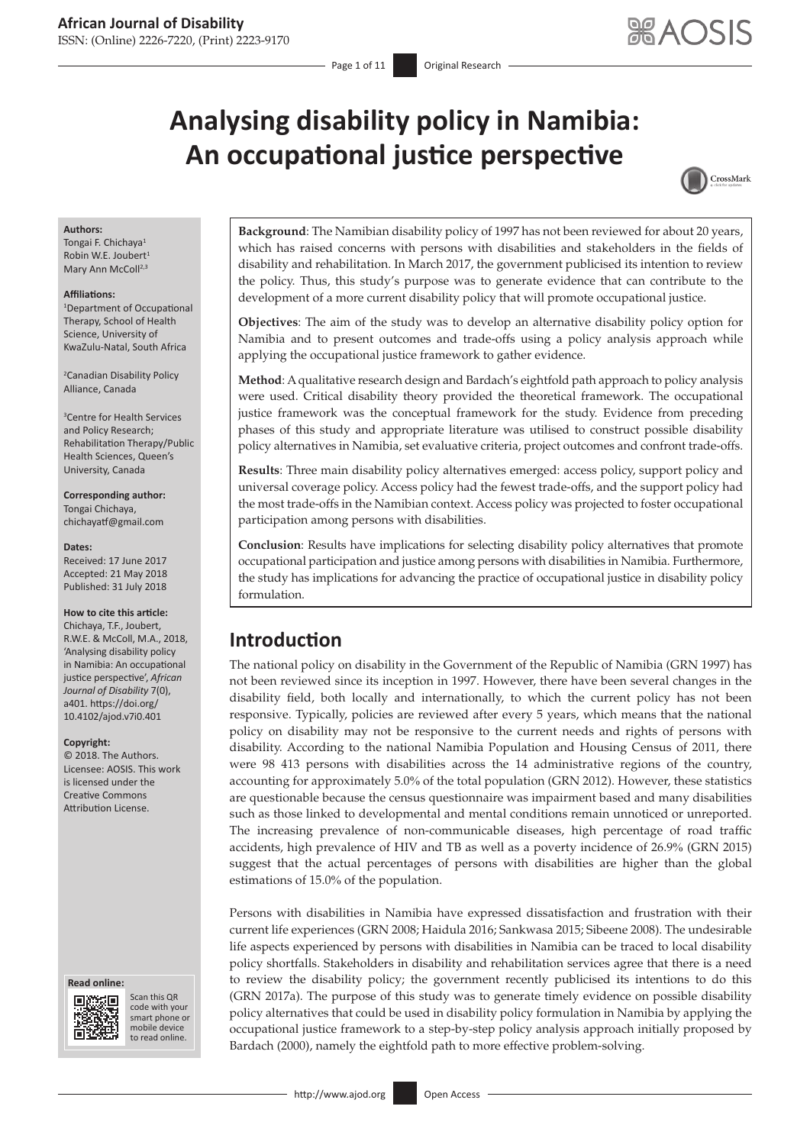# **Analysing disability policy in Namibia: An occupational justice perspective**



#### **Authors:**

Tongai F. Chichaya<sup>1</sup> Robin W.E. Joubert<sup>1</sup> Mary Ann McColl<sup>2,3</sup>

#### **Affiliations:**

1 Department of Occupational Therapy, School of Health Science, University of KwaZulu-Natal, South Africa

2 Canadian Disability Policy Alliance, Canada

3 Centre for Health Services and Policy Research; Rehabilitation Therapy/Public Health Sciences, Queen's University, Canada

**Corresponding author:** Tongai Chichaya, [chichayatf@gmail.com](mailto:chichayatf@gmail.com)

#### **Dates:**

Received: 17 June 2017 Accepted: 21 May 2018 Published: 31 July 2018

#### **How to cite this article:**

Chichaya, T.F., Joubert, R.W.E. & McColl, M.A., 2018, 'Analysing disability policy in Namibia: An occupational justice perspective', *African Journal of Disability* 7(0), a401. [https://doi.org/](https://doi.org/10.4102/ajod.v7i0.401) [10.4102/ajod.v7i0.401](https://doi.org/10.4102/ajod.v7i0.401)

#### **Copyright:**

© 2018. The Authors. Licensee: AOSIS. This work is licensed under the Creative Commons Attribution License.

#### **Read online: Read**



Scan this QR code with your Scan this QR<br>code with your<br>smart phone or<br>mobile device mobile device to read online. to read online.

**Background**: The Namibian disability policy of 1997 has not been reviewed for about 20 years, which has raised concerns with persons with disabilities and stakeholders in the fields of disability and rehabilitation. In March 2017, the government publicised its intention to review the policy. Thus, this study's purpose was to generate evidence that can contribute to the development of a more current disability policy that will promote occupational justice.

**Objectives**: The aim of the study was to develop an alternative disability policy option for Namibia and to present outcomes and trade-offs using a policy analysis approach while applying the occupational justice framework to gather evidence.

**Method**: A qualitative research design and Bardach's eightfold path approach to policy analysis were used. Critical disability theory provided the theoretical framework. The occupational justice framework was the conceptual framework for the study. Evidence from preceding phases of this study and appropriate literature was utilised to construct possible disability policy alternatives in Namibia, set evaluative criteria, project outcomes and confront trade-offs.

**Results**: Three main disability policy alternatives emerged: access policy, support policy and universal coverage policy. Access policy had the fewest trade-offs, and the support policy had the most trade-offs in the Namibian context. Access policy was projected to foster occupational participation among persons with disabilities.

**Conclusion**: Results have implications for selecting disability policy alternatives that promote occupational participation and justice among persons with disabilities in Namibia. Furthermore, the study has implications for advancing the practice of occupational justice in disability policy formulation.

# **Introduction**

The national policy on disability in the Government of the Republic of Namibia (GRN 1997) has not been reviewed since its inception in 1997. However, there have been several changes in the disability field, both locally and internationally, to which the current policy has not been responsive. Typically, policies are reviewed after every 5 years, which means that the national policy on disability may not be responsive to the current needs and rights of persons with disability. According to the national Namibia Population and Housing Census of 2011, there were 98 413 persons with disabilities across the 14 administrative regions of the country, accounting for approximately 5.0% of the total population (GRN 2012). However, these statistics are questionable because the census questionnaire was impairment based and many disabilities such as those linked to developmental and mental conditions remain unnoticed or unreported. The increasing prevalence of non-communicable diseases, high percentage of road traffic accidents, high prevalence of HIV and TB as well as a poverty incidence of 26.9% (GRN 2015) suggest that the actual percentages of persons with disabilities are higher than the global estimations of 15.0% of the population.

Persons with disabilities in Namibia have expressed dissatisfaction and frustration with their current life experiences (GRN 2008; Haidula 2016; Sankwasa 2015; Sibeene 2008). The undesirable life aspects experienced by persons with disabilities in Namibia can be traced to local disability policy shortfalls. Stakeholders in disability and rehabilitation services agree that there is a need to review the disability policy; the government recently publicised its intentions to do this (GRN 2017a). The purpose of this study was to generate timely evidence on possible disability policy alternatives that could be used in disability policy formulation in Namibia by applying the occupational justice framework to a step-by-step policy analysis approach initially proposed by Bardach (2000), namely the eightfold path to more effective problem-solving.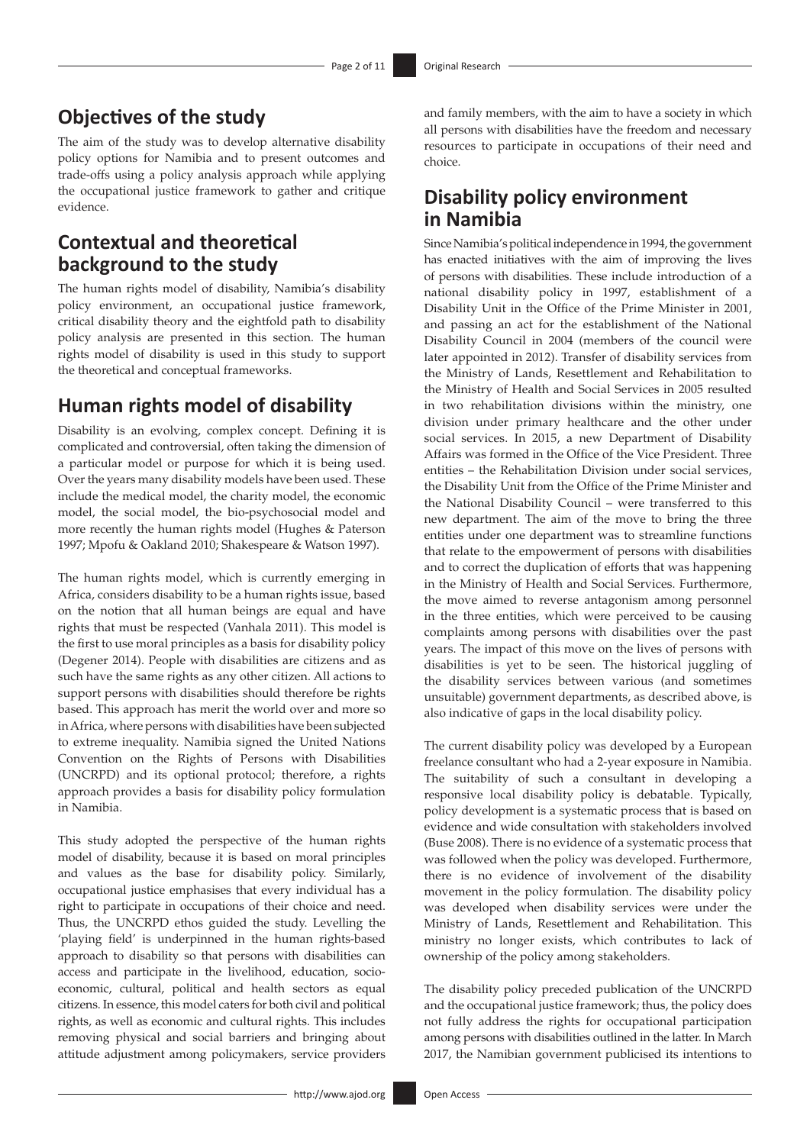# **Objectives of the study**

The aim of the study was to develop alternative disability policy options for Namibia and to present outcomes and trade-offs using a policy analysis approach while applying the occupational justice framework to gather and critique evidence.

# **Contextual and theoretical background to the study**

The human rights model of disability, Namibia's disability policy environment, an occupational justice framework, critical disability theory and the eightfold path to disability policy analysis are presented in this section. The human rights model of disability is used in this study to support the theoretical and conceptual frameworks.

# **Human rights model of disability**

Disability is an evolving, complex concept. Defining it is complicated and controversial, often taking the dimension of a particular model or purpose for which it is being used. Over the years many disability models have been used. These include the medical model, the charity model, the economic model, the social model, the bio-psychosocial model and more recently the human rights model (Hughes & Paterson 1997; Mpofu & Oakland 2010; Shakespeare & Watson 1997).

The human rights model, which is currently emerging in Africa, considers disability to be a human rights issue, based on the notion that all human beings are equal and have rights that must be respected (Vanhala 2011). This model is the first to use moral principles as a basis for disability policy (Degener 2014). People with disabilities are citizens and as such have the same rights as any other citizen. All actions to support persons with disabilities should therefore be rights based. This approach has merit the world over and more so in Africa, where persons with disabilities have been subjected to extreme inequality. Namibia signed the United Nations Convention on the Rights of Persons with Disabilities (UNCRPD) and its optional protocol; therefore, a rights approach provides a basis for disability policy formulation in Namibia.

This study adopted the perspective of the human rights model of disability, because it is based on moral principles and values as the base for disability policy. Similarly, occupational justice emphasises that every individual has a right to participate in occupations of their choice and need. Thus, the UNCRPD ethos guided the study. Levelling the 'playing field' is underpinned in the human rights-based approach to disability so that persons with disabilities can access and participate in the livelihood, education, socioeconomic, cultural, political and health sectors as equal citizens. In essence, this model caters for both civil and political rights, as well as economic and cultural rights. This includes removing physical and social barriers and bringing about attitude adjustment among policymakers, service providers

and family members, with the aim to have a society in which all persons with disabilities have the freedom and necessary resources to participate in occupations of their need and choice.

# **Disability policy environment in Namibia**

Since Namibia's political independence in 1994, the government has enacted initiatives with the aim of improving the lives of persons with disabilities. These include introduction of a national disability policy in 1997, establishment of a Disability Unit in the Office of the Prime Minister in 2001, and passing an act for the establishment of the National Disability Council in 2004 (members of the council were later appointed in 2012). Transfer of disability services from the Ministry of Lands, Resettlement and Rehabilitation to the Ministry of Health and Social Services in 2005 resulted in two rehabilitation divisions within the ministry, one division under primary healthcare and the other under social services. In 2015, a new Department of Disability Affairs was formed in the Office of the Vice President. Three entities – the Rehabilitation Division under social services, the Disability Unit from the Office of the Prime Minister and the National Disability Council – were transferred to this new department. The aim of the move to bring the three entities under one department was to streamline functions that relate to the empowerment of persons with disabilities and to correct the duplication of efforts that was happening in the Ministry of Health and Social Services. Furthermore, the move aimed to reverse antagonism among personnel in the three entities, which were perceived to be causing complaints among persons with disabilities over the past years. The impact of this move on the lives of persons with disabilities is yet to be seen. The historical juggling of the disability services between various (and sometimes unsuitable) government departments, as described above, is also indicative of gaps in the local disability policy.

The current disability policy was developed by a European freelance consultant who had a 2-year exposure in Namibia. The suitability of such a consultant in developing a responsive local disability policy is debatable. Typically, policy development is a systematic process that is based on evidence and wide consultation with stakeholders involved (Buse 2008). There is no evidence of a systematic process that was followed when the policy was developed. Furthermore, there is no evidence of involvement of the disability movement in the policy formulation. The disability policy was developed when disability services were under the Ministry of Lands, Resettlement and Rehabilitation. This ministry no longer exists, which contributes to lack of ownership of the policy among stakeholders.

The disability policy preceded publication of the UNCRPD and the occupational justice framework; thus, the policy does not fully address the rights for occupational participation among persons with disabilities outlined in the latter. In March 2017, the Namibian government publicised its intentions to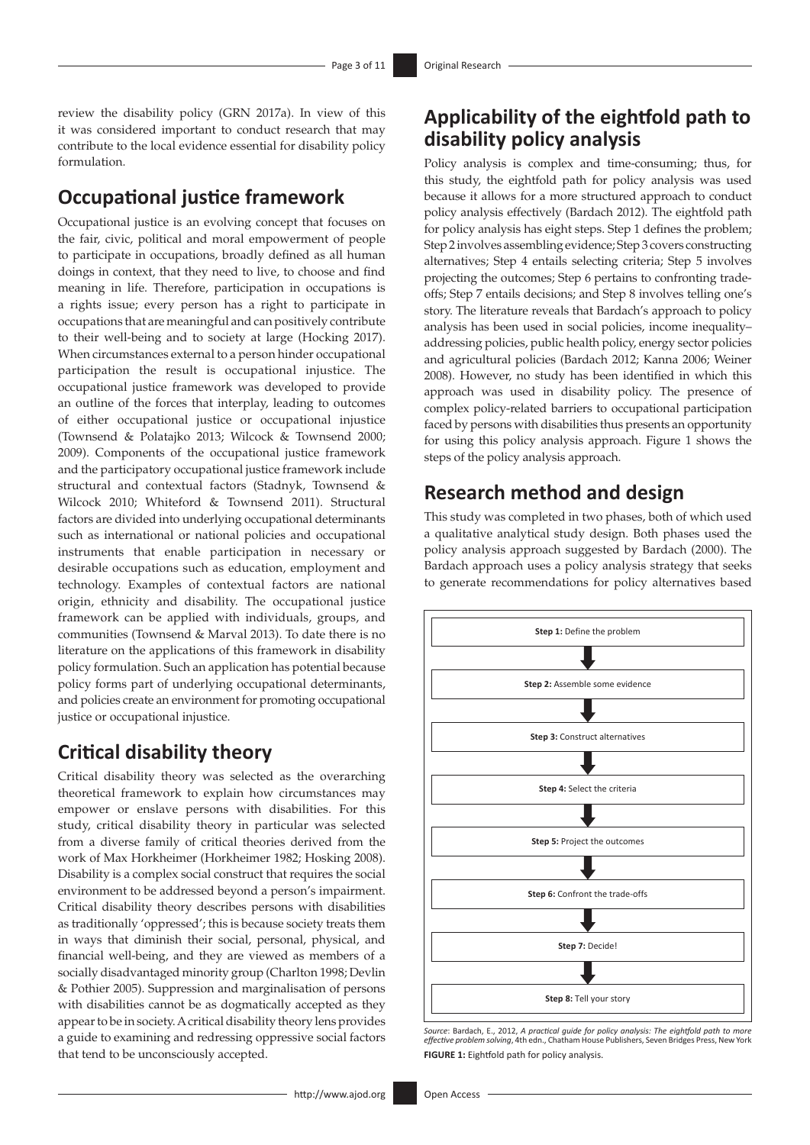review the disability policy (GRN 2017a). In view of this it was considered important to conduct research that may contribute to the local evidence essential for disability policy formulation.

# **Occupational justice framework**

Occupational justice is an evolving concept that focuses on the fair, civic, political and moral empowerment of people to participate in occupations, broadly defined as all human doings in context, that they need to live, to choose and find meaning in life. Therefore, participation in occupations is a rights issue; every person has a right to participate in occupations that are meaningful and can positively contribute to their well-being and to society at large (Hocking 2017). When circumstances external to a person hinder occupational participation the result is occupational injustice. The occupational justice framework was developed to provide an outline of the forces that interplay, leading to outcomes of either occupational justice or occupational injustice (Townsend & Polatajko 2013; Wilcock & Townsend 2000; 2009). Components of the occupational justice framework and the participatory occupational justice framework include structural and contextual factors (Stadnyk, Townsend & Wilcock 2010; Whiteford & Townsend 2011). Structural factors are divided into underlying occupational determinants such as international or national policies and occupational instruments that enable participation in necessary or desirable occupations such as education, employment and technology. Examples of contextual factors are national origin, ethnicity and disability. The occupational justice framework can be applied with individuals, groups, and communities (Townsend & Marval 2013). To date there is no literature on the applications of this framework in disability policy formulation. Such an application has potential because policy forms part of underlying occupational determinants, and policies create an environment for promoting occupational justice or occupational injustice.

# **Critical disability theory**

Critical disability theory was selected as the overarching theoretical framework to explain how circumstances may empower or enslave persons with disabilities. For this study, critical disability theory in particular was selected from a diverse family of critical theories derived from the work of Max Horkheimer (Horkheimer 1982; Hosking 2008). Disability is a complex social construct that requires the social environment to be addressed beyond a person's impairment. Critical disability theory describes persons with disabilities as traditionally 'oppressed'; this is because society treats them in ways that diminish their social, personal, physical, and financial well-being, and they are viewed as members of a socially disadvantaged minority group (Charlton 1998; Devlin & Pothier 2005). Suppression and marginalisation of persons with disabilities cannot be as dogmatically accepted as they appear to be in society. A critical disability theory lens provides a guide to examining and redressing oppressive social factors that tend to be unconsciously accepted.

# **Applicability of the eightfold path to disability policy analysis**

Policy analysis is complex and time-consuming; thus, for this study, the eightfold path for policy analysis was used because it allows for a more structured approach to conduct policy analysis effectively (Bardach 2012). The eightfold path for policy analysis has eight steps. Step 1 defines the problem; Step 2 involves assembling evidence; Step 3 covers constructing alternatives; Step 4 entails selecting criteria; Step 5 involves projecting the outcomes; Step 6 pertains to confronting tradeoffs; Step 7 entails decisions; and Step 8 involves telling one's story. The literature reveals that Bardach's approach to policy analysis has been used in social policies, income inequality– addressing policies, public health policy, energy sector policies and agricultural policies (Bardach 2012; Kanna 2006; Weiner 2008). However, no study has been identified in which this approach was used in disability policy. The presence of complex policy-related barriers to occupational participation faced by persons with disabilities thus presents an opportunity for using this policy analysis approach. Figure 1 shows the steps of the policy analysis approach.

# **Research method and design**

This study was completed in two phases, both of which used a qualitative analytical study design. Both phases used the policy analysis approach suggested by Bardach (2000). The Bardach approach uses a policy analysis strategy that seeks to generate recommendations for policy alternatives based



*Source*: Bardach, E., 2012, *A practical guide for policy analysis: The eightfold path to more effective problem solving*, 4th edn., Chatham House Publishers, Seven Bridges Press, New York **FIGURE 1:** Eightfold path for policy analysis.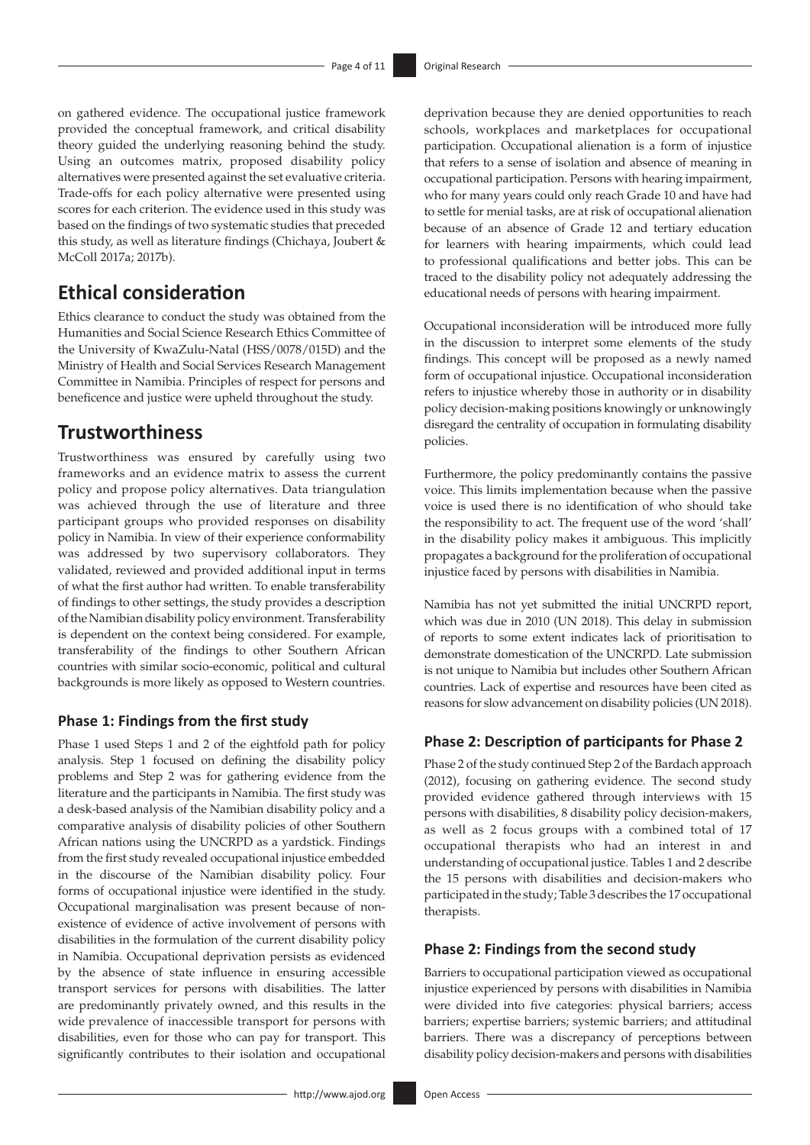on gathered evidence. The occupational justice framework provided the conceptual framework, and critical disability theory guided the underlying reasoning behind the study. Using an outcomes matrix, proposed disability policy alternatives were presented against the set evaluative criteria. Trade-offs for each policy alternative were presented using scores for each criterion. The evidence used in this study was based on the findings of two systematic studies that preceded this study, as well as literature findings (Chichaya, Joubert & McColl 2017a; 2017b).

# **Ethical consideration**

Ethics clearance to conduct the study was obtained from the Humanities and Social Science Research Ethics Committee of the University of KwaZulu-Natal (HSS/0078/015D) and the Ministry of Health and Social Services Research Management Committee in Namibia. Principles of respect for persons and beneficence and justice were upheld throughout the study.

## **Trustworthiness**

Trustworthiness was ensured by carefully using two frameworks and an evidence matrix to assess the current policy and propose policy alternatives. Data triangulation was achieved through the use of literature and three participant groups who provided responses on disability policy in Namibia. In view of their experience conformability was addressed by two supervisory collaborators. They validated, reviewed and provided additional input in terms of what the first author had written. To enable transferability of findings to other settings, the study provides a description of the Namibian disability policy environment. Transferability is dependent on the context being considered. For example, transferability of the findings to other Southern African countries with similar socio-economic, political and cultural backgrounds is more likely as opposed to Western countries.

## **Phase 1: Findings from the first study**

Phase 1 used Steps 1 and 2 of the eightfold path for policy analysis. Step 1 focused on defining the disability policy problems and Step 2 was for gathering evidence from the literature and the participants in Namibia. The first study was a desk-based analysis of the Namibian disability policy and a comparative analysis of disability policies of other Southern African nations using the UNCRPD as a yardstick. Findings from the first study revealed occupational injustice embedded in the discourse of the Namibian disability policy. Four forms of occupational injustice were identified in the study. Occupational marginalisation was present because of nonexistence of evidence of active involvement of persons with disabilities in the formulation of the current disability policy in Namibia. Occupational deprivation persists as evidenced by the absence of state influence in ensuring accessible transport services for persons with disabilities. The latter are predominantly privately owned, and this results in the wide prevalence of inaccessible transport for persons with disabilities, even for those who can pay for transport. This significantly contributes to their isolation and occupational

deprivation because they are denied opportunities to reach schools, workplaces and marketplaces for occupational participation. Occupational alienation is a form of injustice that refers to a sense of isolation and absence of meaning in occupational participation. Persons with hearing impairment, who for many years could only reach Grade 10 and have had to settle for menial tasks, are at risk of occupational alienation because of an absence of Grade 12 and tertiary education for learners with hearing impairments, which could lead to professional qualifications and better jobs. This can be traced to the disability policy not adequately addressing the educational needs of persons with hearing impairment.

Occupational inconsideration will be introduced more fully in the discussion to interpret some elements of the study findings. This concept will be proposed as a newly named form of occupational injustice. Occupational inconsideration refers to injustice whereby those in authority or in disability policy decision-making positions knowingly or unknowingly disregard the centrality of occupation in formulating disability policies.

Furthermore, the policy predominantly contains the passive voice. This limits implementation because when the passive voice is used there is no identification of who should take the responsibility to act. The frequent use of the word 'shall' in the disability policy makes it ambiguous. This implicitly propagates a background for the proliferation of occupational injustice faced by persons with disabilities in Namibia.

Namibia has not yet submitted the initial UNCRPD report, which was due in 2010 (UN 2018). This delay in submission of reports to some extent indicates lack of prioritisation to demonstrate domestication of the UNCRPD. Late submission is not unique to Namibia but includes other Southern African countries. Lack of expertise and resources have been cited as reasons for slow advancement on disability policies (UN 2018).

## **Phase 2: Description of participants for Phase 2**

Phase 2 of the study continued Step 2 of the Bardach approach (2012), focusing on gathering evidence. The second study provided evidence gathered through interviews with 15 persons with disabilities, 8 disability policy decision-makers, as well as 2 focus groups with a combined total of 17 occupational therapists who had an interest in and understanding of occupational justice. Tables 1 and 2 describe the 15 persons with disabilities and decision-makers who participated in the study; Table 3 describes the 17 occupational therapists.

### **Phase 2: Findings from the second study**

Barriers to occupational participation viewed as occupational injustice experienced by persons with disabilities in Namibia were divided into five categories: physical barriers; access barriers; expertise barriers; systemic barriers; and attitudinal barriers. There was a discrepancy of perceptions between disability policy decision-makers and persons with disabilities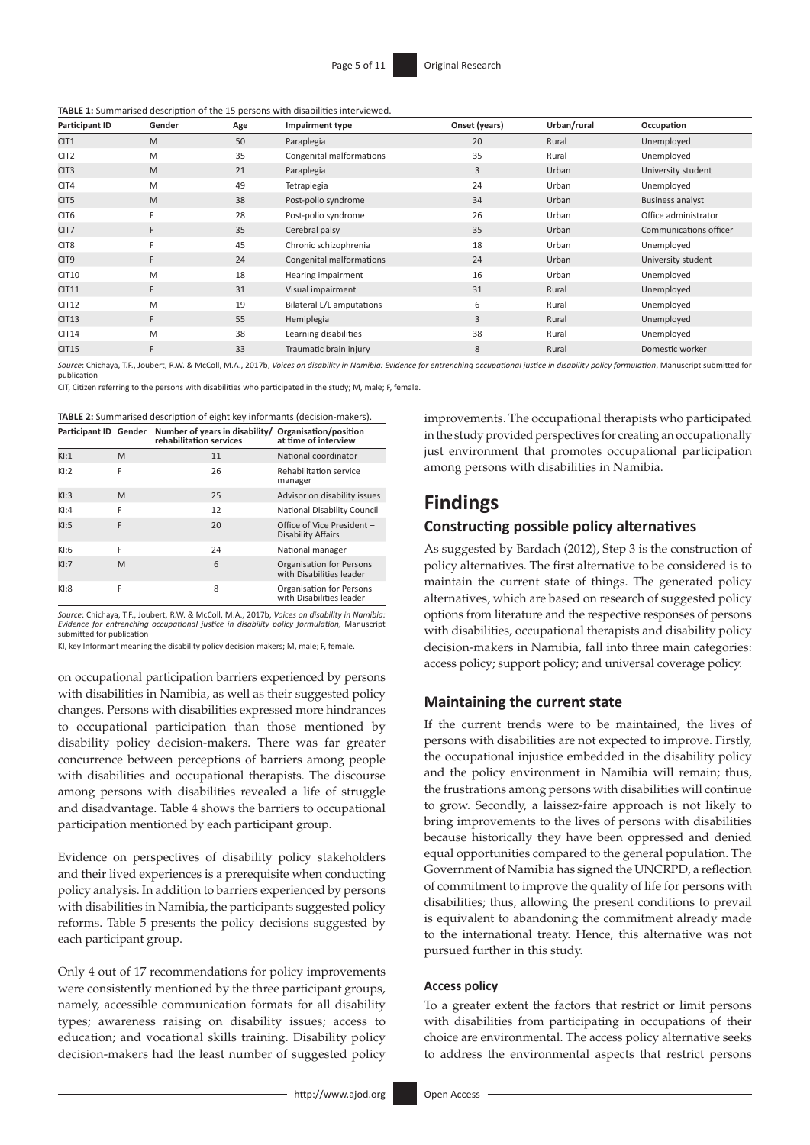#### **TABLE 1:** Summarised description of the 15 persons with disabilities interviewed.

| Participant ID   | Gender | Age | Impairment type           | Onset (years) | Urban/rural | Occupation              |
|------------------|--------|-----|---------------------------|---------------|-------------|-------------------------|
| CIT1             | M      | 50  | Paraplegia                | 20            | Rural       | Unemployed              |
| CIT <sub>2</sub> | M      | 35  | Congenital malformations  | 35            | Rural       | Unemployed              |
| CIT <sub>3</sub> | M      | 21  | Paraplegia                | 3             | Urban       | University student      |
| CIT4             | M      | 49  | Tetraplegia               | 24            | Urban       | Unemployed              |
| CIT5             | M      | 38  | Post-polio syndrome       | 34            | Urban       | <b>Business analyst</b> |
| CIT <sub>6</sub> | F.     | 28  | Post-polio syndrome       | 26            | Urban       | Office administrator    |
| CIT7             | F.     | 35  | Cerebral palsy            | 35            | Urban       | Communications officer  |
| CIT <sub>8</sub> | F.     | 45  | Chronic schizophrenia     | 18            | Urban       | Unemployed              |
| CIT <sub>9</sub> | F.     | 24  | Congenital malformations  | 24            | Urban       | University student      |
| <b>CIT10</b>     | M      | 18  | Hearing impairment        | 16            | Urban       | Unemployed              |
| <b>CIT11</b>     | F.     | 31  | Visual impairment         | 31            | Rural       | Unemployed              |
| <b>CIT12</b>     | M      | 19  | Bilateral L/L amputations | 6             | Rural       | Unemployed              |
| <b>CIT13</b>     | F      | 55  | Hemiplegia                | 3             | Rural       | Unemployed              |
| CIT14            | M      | 38  | Learning disabilities     | 38            | Rural       | Unemployed              |
| <b>CIT15</b>     | F      | 33  | Traumatic brain injury    | 8             | Rural       | Domestic worker         |

*Source*: Chichaya, T.F., Joubert, R.W. & McColl, M.A., 2017b, *Voices on disability in Namibia: Evidence for entrenching occupational justice in disability policy formulation*, Manuscript submitted for publication

CIT, Citizen referring to the persons with disabilities who participated in the study; M, male; F, female.

**TABLE 2:** Summarised description of eight key informants (decision-makers).

| Participant ID Gender |   | Number of years in disability/<br>rehabilitation services | Organisation/position<br>at time of interview               |
|-----------------------|---|-----------------------------------------------------------|-------------------------------------------------------------|
| K1:1                  | M | 11                                                        | National coordinator                                        |
| K1:2                  | F | 26                                                        | Rehabilitation service<br>manager                           |
| K1:3                  | M | 25                                                        | Advisor on disability issues                                |
| KI:4                  | F | 12                                                        | National Disability Council                                 |
| K1:5                  | F | 20                                                        | Office of Vice President -<br><b>Disability Affairs</b>     |
| K1:6                  | F | 24                                                        | National manager                                            |
| K1:7                  | M | 6                                                         | <b>Organisation for Persons</b><br>with Disabilities leader |
| K1:8                  | F | 8                                                         | Organisation for Persons<br>with Disabilities leader        |

*Source*: Chichaya, T.F., Joubert, R.W. & McColl, M.A., 2017b, *Voices on disability in Namibia: Evidence for entrenching occupational justice in disability policy formulation,* Manuscript submitted for publication

KI, key Informant meaning the disability policy decision makers; M, male; F, female.

on occupational participation barriers experienced by persons with disabilities in Namibia, as well as their suggested policy changes. Persons with disabilities expressed more hindrances to occupational participation than those mentioned by disability policy decision-makers. There was far greater concurrence between perceptions of barriers among people with disabilities and occupational therapists. The discourse among persons with disabilities revealed a life of struggle and disadvantage. Table 4 shows the barriers to occupational participation mentioned by each participant group.

Evidence on perspectives of disability policy stakeholders and their lived experiences is a prerequisite when conducting policy analysis. In addition to barriers experienced by persons with disabilities in Namibia, the participants suggested policy reforms. Table 5 presents the policy decisions suggested by each participant group.

Only 4 out of 17 recommendations for policy improvements were consistently mentioned by the three participant groups, namely, accessible communication formats for all disability types; awareness raising on disability issues; access to education; and vocational skills training. Disability policy decision-makers had the least number of suggested policy improvements. The occupational therapists who participated in the study provided perspectives for creating an occupationally just environment that promotes occupational participation among persons with disabilities in Namibia.

# **Findings**

## **Constructing possible policy alternatives**

As suggested by Bardach (2012), Step 3 is the construction of policy alternatives. The first alternative to be considered is to maintain the current state of things. The generated policy alternatives, which are based on research of suggested policy options from literature and the respective responses of persons with disabilities, occupational therapists and disability policy decision-makers in Namibia, fall into three main categories: access policy; support policy; and universal coverage policy.

#### **Maintaining the current state**

If the current trends were to be maintained, the lives of persons with disabilities are not expected to improve. Firstly, the occupational injustice embedded in the disability policy and the policy environment in Namibia will remain; thus, the frustrations among persons with disabilities will continue to grow. Secondly, a laissez-faire approach is not likely to bring improvements to the lives of persons with disabilities because historically they have been oppressed and denied equal opportunities compared to the general population. The Government of Namibia has signed the UNCRPD, a reflection of commitment to improve the quality of life for persons with disabilities; thus, allowing the present conditions to prevail is equivalent to abandoning the commitment already made to the international treaty. Hence, this alternative was not pursued further in this study.

#### **Access policy**

To a greater extent the factors that restrict or limit persons with disabilities from participating in occupations of their choice are environmental. The access policy alternative seeks to address the environmental aspects that restrict persons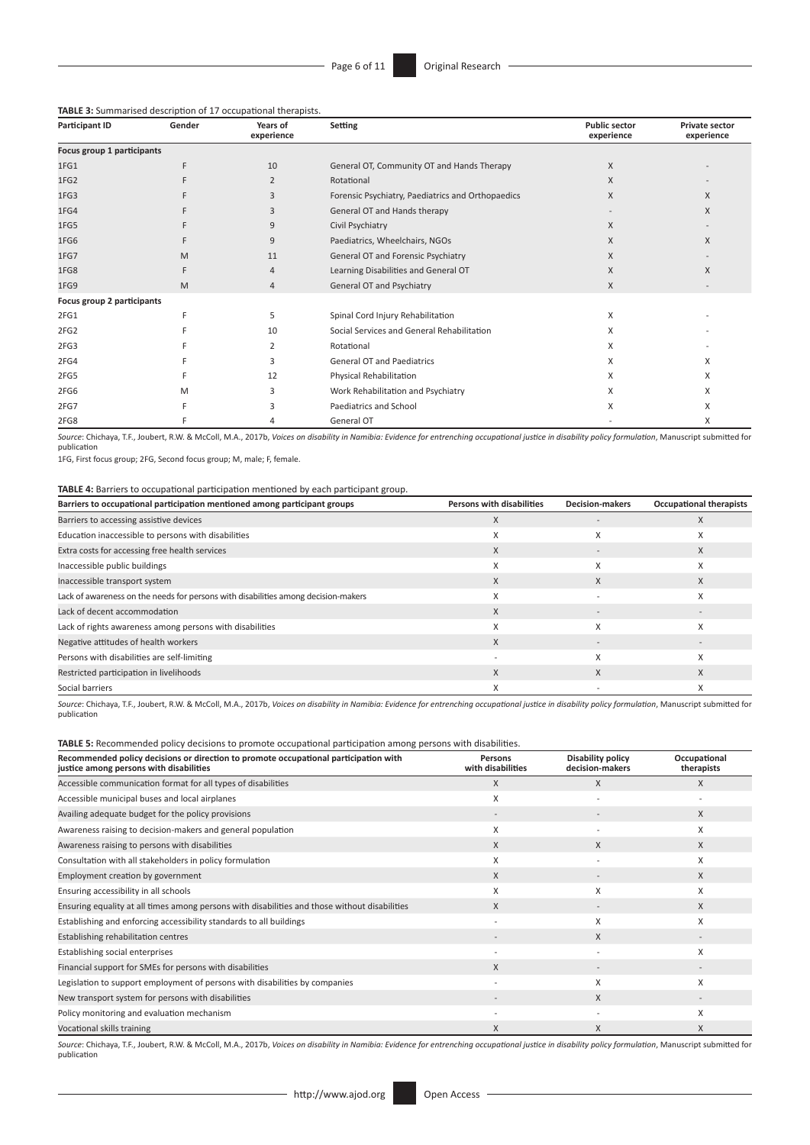**TABLE 3:** Summarised description of 17 occupational therapists.

| Participant ID             | Gender | Years of<br>experience | <b>Setting</b>                                    | <b>Public sector</b><br>experience | <b>Private sector</b><br>experience |
|----------------------------|--------|------------------------|---------------------------------------------------|------------------------------------|-------------------------------------|
| Focus group 1 participants |        |                        |                                                   |                                    |                                     |
| 1FG1                       |        | 10                     | General OT, Community OT and Hands Therapy        | X                                  |                                     |
| 1FG <sub>2</sub>           |        | 2                      | Rotational                                        | X                                  |                                     |
| 1FG3                       |        | 3                      | Forensic Psychiatry, Paediatrics and Orthopaedics | X                                  | X                                   |
| 1FG4                       |        | 3                      | General OT and Hands therapy                      |                                    | X                                   |
| 1FG5                       |        | 9                      | Civil Psychiatry                                  | X                                  |                                     |
| 1FG6                       |        | 9                      | Paediatrics, Wheelchairs, NGOs                    | X                                  | X                                   |
| 1FG7                       | M      | 11                     | General OT and Forensic Psychiatry                | X                                  |                                     |
| 1FG8                       |        | $\overline{4}$         | Learning Disabilities and General OT              | X                                  | X                                   |
| 1FG9                       | M      | $\overline{4}$         | General OT and Psychiatry                         | X                                  |                                     |
| Focus group 2 participants |        |                        |                                                   |                                    |                                     |
| 2FG1                       |        | 5                      | Spinal Cord Injury Rehabilitation                 | X                                  |                                     |
| 2FG2                       |        | 10                     | Social Services and General Rehabilitation        | Χ                                  |                                     |
| 2FG3                       |        | $\overline{2}$         | Rotational                                        | x                                  |                                     |
| 2FG4                       |        | 3                      | <b>General OT and Paediatrics</b>                 | Χ                                  | X                                   |
| 2FG5                       |        | 12                     | Physical Rehabilitation                           | X                                  | X                                   |
| 2FG6                       | M      | 3                      | Work Rehabilitation and Psychiatry                | Χ                                  | X                                   |
| 2FG7                       |        | З                      | Paediatrics and School                            | Χ                                  | X                                   |
| 2FG8                       |        |                        | General OT                                        |                                    | X                                   |

Source: Chichaya, T.F., Joubert, R.W. & McColl, M.A., 2017b, *Voices on disability in Namibia: Evidence for entrenching occupational justice in disability policy formulation, Manuscript submitted for<br>publication* 

1FG, First focus group; 2FG, Second focus group; M, male; F, female.

#### **TABLE 4:** Barriers to occupational participation mentioned by each participant group.

| Barriers to occupational participation mentioned among participant groups          | <b>Persons with disabilities</b> | <b>Decision-makers</b> | <b>Occupational therapists</b> |
|------------------------------------------------------------------------------------|----------------------------------|------------------------|--------------------------------|
| Barriers to accessing assistive devices                                            | X                                |                        |                                |
| Education inaccessible to persons with disabilities                                |                                  |                        |                                |
| Extra costs for accessing free health services                                     | X                                |                        |                                |
| Inaccessible public buildings                                                      |                                  |                        |                                |
| Inaccessible transport system                                                      | X                                | X                      |                                |
| Lack of awareness on the needs for persons with disabilities among decision-makers |                                  |                        |                                |
| Lack of decent accommodation                                                       | X                                |                        |                                |
| Lack of rights awareness among persons with disabilities                           |                                  |                        |                                |
| Negative attitudes of health workers                                               | X                                |                        |                                |
| Persons with disabilities are self-limiting                                        |                                  |                        |                                |
| Restricted participation in livelihoods                                            | X                                | X                      |                                |
| Social barriers                                                                    |                                  |                        |                                |

Source: Chichaya, T.F., Joubert, R.W. & McColl, M.A., 2017b, *Voices on disability in Namibia: Evidence for entrenching occupational justice in disability policy formulation, Manuscript submitted for<br>publication* 

**TABLE 5:** Recommended policy decisions to promote occupational participation among persons with disabilities.

| Recommended policy decisions or direction to promote occupational participation with<br>justice among persons with disabilities | Persons<br>with disabilities | <b>Disability policy</b><br>decision-makers | Occupational<br>therapists |
|---------------------------------------------------------------------------------------------------------------------------------|------------------------------|---------------------------------------------|----------------------------|
| Accessible communication format for all types of disabilities                                                                   | X                            | X                                           | X                          |
| Accessible municipal buses and local airplanes                                                                                  | X                            |                                             |                            |
| Availing adequate budget for the policy provisions                                                                              |                              |                                             | X                          |
| Awareness raising to decision-makers and general population                                                                     | X                            |                                             | X                          |
| Awareness raising to persons with disabilities                                                                                  | X                            | X                                           | X                          |
| Consultation with all stakeholders in policy formulation                                                                        | X                            |                                             | X                          |
| Employment creation by government                                                                                               | X                            |                                             | X                          |
| Ensuring accessibility in all schools                                                                                           | X                            | X                                           | X                          |
| Ensuring equality at all times among persons with disabilities and those without disabilities                                   | $\mathsf{X}$                 |                                             | X                          |
| Establishing and enforcing accessibility standards to all buildings                                                             |                              | X                                           | x                          |
| Establishing rehabilitation centres                                                                                             |                              | X                                           |                            |
| Establishing social enterprises                                                                                                 |                              |                                             | x                          |
| Financial support for SMEs for persons with disabilities                                                                        | $\mathsf{X}$                 |                                             |                            |
| Legislation to support employment of persons with disabilities by companies                                                     |                              | X                                           | X                          |
| New transport system for persons with disabilities                                                                              | $\overline{\phantom{a}}$     | X                                           |                            |
| Policy monitoring and evaluation mechanism                                                                                      |                              |                                             | X                          |
| Vocational skills training                                                                                                      | X                            | X                                           | X                          |

Source: Chichaya, T.F., Joubert, R.W. & McColl, M.A., 2017b, *Voices on disability in Namibia: Evidence for entrenching occupational justice in disability policy formulation, Manuscript submitted for<br>publication*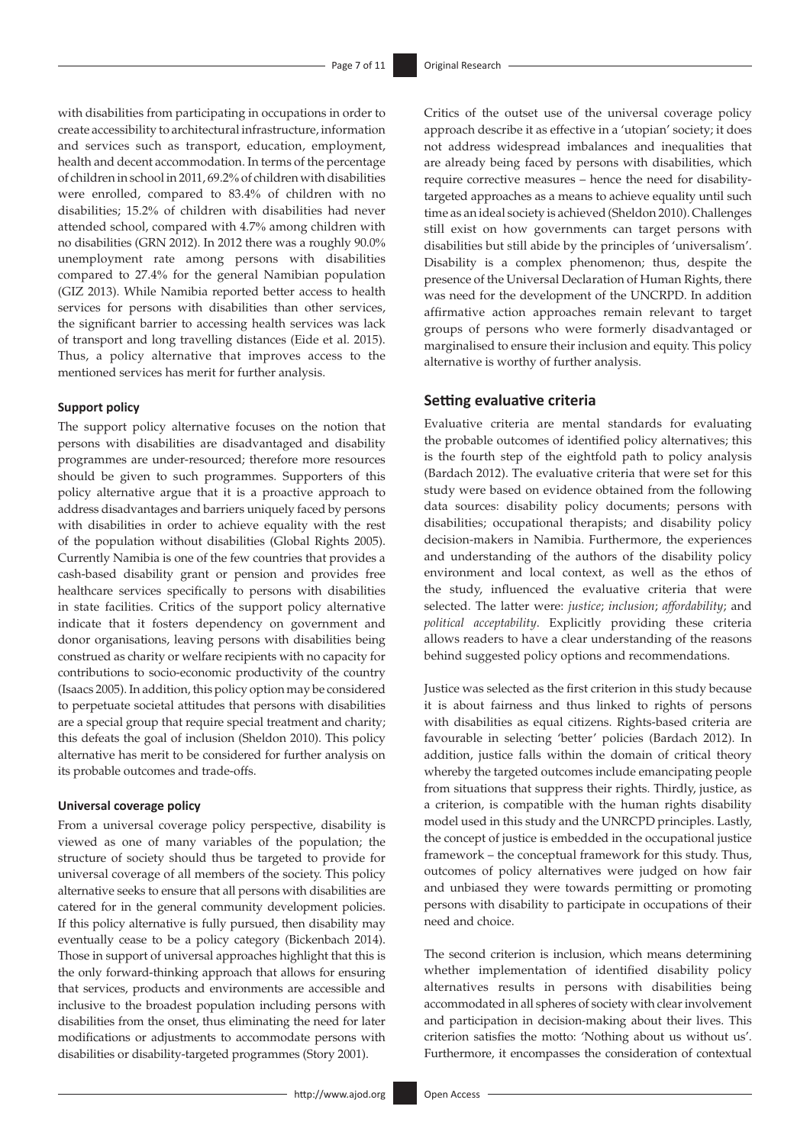with disabilities from participating in occupations in order to create accessibility to architectural infrastructure, information and services such as transport, education, employment, health and decent accommodation. In terms of the percentage of children in school in 2011, 69.2% of children with disabilities were enrolled, compared to 83.4% of children with no disabilities; 15.2% of children with disabilities had never attended school, compared with 4.7% among children with no disabilities (GRN 2012). In 2012 there was a roughly 90.0% unemployment rate among persons with disabilities compared to 27.4% for the general Namibian population (GIZ 2013). While Namibia reported better access to health services for persons with disabilities than other services, the significant barrier to accessing health services was lack of transport and long travelling distances (Eide et al. 2015). Thus, a policy alternative that improves access to the mentioned services has merit for further analysis.

#### **Support policy**

The support policy alternative focuses on the notion that persons with disabilities are disadvantaged and disability programmes are under-resourced; therefore more resources should be given to such programmes. Supporters of this policy alternative argue that it is a proactive approach to address disadvantages and barriers uniquely faced by persons with disabilities in order to achieve equality with the rest of the population without disabilities (Global Rights 2005). Currently Namibia is one of the few countries that provides a cash-based disability grant or pension and provides free healthcare services specifically to persons with disabilities in state facilities. Critics of the support policy alternative indicate that it fosters dependency on government and donor organisations, leaving persons with disabilities being construed as charity or welfare recipients with no capacity for contributions to socio-economic productivity of the country (Isaacs 2005). In addition, this policy option may be considered to perpetuate societal attitudes that persons with disabilities are a special group that require special treatment and charity; this defeats the goal of inclusion (Sheldon 2010). This policy alternative has merit to be considered for further analysis on its probable outcomes and trade-offs.

#### **Universal coverage policy**

From a universal coverage policy perspective, disability is viewed as one of many variables of the population; the structure of society should thus be targeted to provide for universal coverage of all members of the society. This policy alternative seeks to ensure that all persons with disabilities are catered for in the general community development policies. If this policy alternative is fully pursued, then disability may eventually cease to be a policy category (Bickenbach 2014). Those in support of universal approaches highlight that this is the only forward-thinking approach that allows for ensuring that services, products and environments are accessible and inclusive to the broadest population including persons with disabilities from the onset, thus eliminating the need for later modifications or adjustments to accommodate persons with disabilities or disability-targeted programmes (Story 2001).

Critics of the outset use of the universal coverage policy approach describe it as effective in a 'utopian' society; it does not address widespread imbalances and inequalities that are already being faced by persons with disabilities, which require corrective measures – hence the need for disabilitytargeted approaches as a means to achieve equality until such time as an ideal society is achieved (Sheldon 2010). Challenges still exist on how governments can target persons with disabilities but still abide by the principles of 'universalism'. Disability is a complex phenomenon; thus, despite the presence of the Universal Declaration of Human Rights, there was need for the development of the UNCRPD. In addition affirmative action approaches remain relevant to target groups of persons who were formerly disadvantaged or marginalised to ensure their inclusion and equity. This policy alternative is worthy of further analysis.

## **Setting evaluative criteria**

Evaluative criteria are mental standards for evaluating the probable outcomes of identified policy alternatives; this is the fourth step of the eightfold path to policy analysis (Bardach 2012). The evaluative criteria that were set for this study were based on evidence obtained from the following data sources: disability policy documents; persons with disabilities; occupational therapists; and disability policy decision-makers in Namibia. Furthermore, the experiences and understanding of the authors of the disability policy environment and local context, as well as the ethos of the study, influenced the evaluative criteria that were selected. The latter were: *justice*; *inclusion*; *affordability*; and *political acceptability*. Explicitly providing these criteria allows readers to have a clear understanding of the reasons behind suggested policy options and recommendations.

Justice was selected as the first criterion in this study because it is about fairness and thus linked to rights of persons with disabilities as equal citizens. Rights-based criteria are favourable in selecting 'better' policies (Bardach 2012). In addition, justice falls within the domain of critical theory whereby the targeted outcomes include emancipating people from situations that suppress their rights. Thirdly, justice, as a criterion, is compatible with the human rights disability model used in this study and the UNRCPD principles. Lastly, the concept of justice is embedded in the occupational justice framework – the conceptual framework for this study. Thus, outcomes of policy alternatives were judged on how fair and unbiased they were towards permitting or promoting persons with disability to participate in occupations of their need and choice.

The second criterion is inclusion, which means determining whether implementation of identified disability policy alternatives results in persons with disabilities being accommodated in all spheres of society with clear involvement and participation in decision-making about their lives. This criterion satisfies the motto: 'Nothing about us without us'. Furthermore, it encompasses the consideration of contextual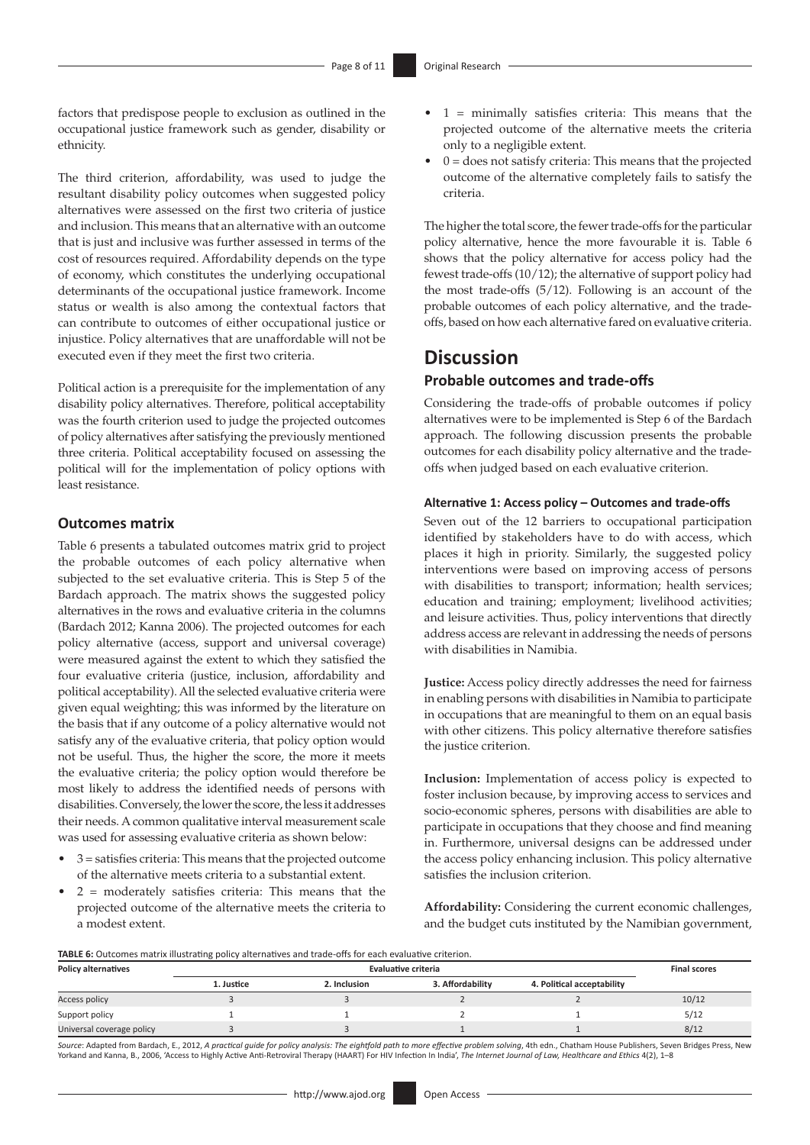factors that predispose people to exclusion as outlined in the occupational justice framework such as gender, disability or ethnicity.

The third criterion, affordability, was used to judge the resultant disability policy outcomes when suggested policy alternatives were assessed on the first two criteria of justice and inclusion. This means that an alternative with an outcome that is just and inclusive was further assessed in terms of the cost of resources required. Affordability depends on the type of economy, which constitutes the underlying occupational determinants of the occupational justice framework. Income status or wealth is also among the contextual factors that can contribute to outcomes of either occupational justice or injustice. Policy alternatives that are unaffordable will not be executed even if they meet the first two criteria.

Political action is a prerequisite for the implementation of any disability policy alternatives. Therefore, political acceptability was the fourth criterion used to judge the projected outcomes of policy alternatives after satisfying the previously mentioned three criteria. Political acceptability focused on assessing the political will for the implementation of policy options with least resistance.

### **Outcomes matrix**

Table 6 presents a tabulated outcomes matrix grid to project the probable outcomes of each policy alternative when subjected to the set evaluative criteria. This is Step 5 of the Bardach approach. The matrix shows the suggested policy alternatives in the rows and evaluative criteria in the columns (Bardach 2012; Kanna 2006). The projected outcomes for each policy alternative (access, support and universal coverage) were measured against the extent to which they satisfied the four evaluative criteria (justice, inclusion, affordability and political acceptability). All the selected evaluative criteria were given equal weighting; this was informed by the literature on the basis that if any outcome of a policy alternative would not satisfy any of the evaluative criteria, that policy option would not be useful. Thus, the higher the score, the more it meets the evaluative criteria; the policy option would therefore be most likely to address the identified needs of persons with disabilities. Conversely, the lower the score, the less it addresses their needs. A common qualitative interval measurement scale was used for assessing evaluative criteria as shown below:

- $3 =$  satisfies criteria: This means that the projected outcome of the alternative meets criteria to a substantial extent.
- $2$  = moderately satisfies criteria: This means that the projected outcome of the alternative meets the criteria to a modest extent.
- $\bullet$  1 = minimally satisfies criteria: This means that the projected outcome of the alternative meets the criteria only to a negligible extent.
- $0 =$  does not satisfy criteria: This means that the projected outcome of the alternative completely fails to satisfy the criteria.

The higher the total score, the fewer trade-offs for the particular policy alternative, hence the more favourable it is. Table 6 shows that the policy alternative for access policy had the fewest trade-offs (10/12); the alternative of support policy had the most trade-offs (5/12). Following is an account of the probable outcomes of each policy alternative, and the tradeoffs, based on how each alternative fared on evaluative criteria.

# **Discussion**

## **Probable outcomes and trade-offs**

Considering the trade-offs of probable outcomes if policy alternatives were to be implemented is Step 6 of the Bardach approach. The following discussion presents the probable outcomes for each disability policy alternative and the tradeoffs when judged based on each evaluative criterion.

#### **Alternative 1: Access policy – Outcomes and trade-offs**

Seven out of the 12 barriers to occupational participation identified by stakeholders have to do with access, which places it high in priority. Similarly, the suggested policy interventions were based on improving access of persons with disabilities to transport; information; health services; education and training; employment; livelihood activities; and leisure activities. Thus, policy interventions that directly address access are relevant in addressing the needs of persons with disabilities in Namibia.

**Justice:** Access policy directly addresses the need for fairness in enabling persons with disabilities in Namibia to participate in occupations that are meaningful to them on an equal basis with other citizens. This policy alternative therefore satisfies the justice criterion.

**Inclusion:** Implementation of access policy is expected to foster inclusion because, by improving access to services and socio-economic spheres, persons with disabilities are able to participate in occupations that they choose and find meaning in. Furthermore, universal designs can be addressed under the access policy enhancing inclusion. This policy alternative satisfies the inclusion criterion.

**Affordability:** Considering the current economic challenges, and the budget cuts instituted by the Namibian government,

**TABLE 6:** Outcomes matrix illustrating policy alternatives and trade-offs for each evaluative criterion.

| <b>Policy alternatives</b> |            | <b>Final scores</b> |                  |                            |       |
|----------------------------|------------|---------------------|------------------|----------------------------|-------|
|                            | 1. Justice | 2. Inclusion        | 3. Affordability | 4. Political acceptability |       |
| Access policy              |            |                     |                  |                            | 10/12 |
| Support policy             |            |                     |                  |                            | 5/12  |
| Universal coverage policy  |            |                     |                  |                            | 8/12  |

*Source*: Adapted from Bardach, E., 2012, *A practical guide for policy analysis: The eightfold path to more effective problem solving*, 4th edn., Chatham House Publishers, Seven Bridges Press, New Yorkand and Kanna, B., 2006, 'Access to Highly Active Anti-Retroviral Therapy (HAART) For HIV Infection In India', *The Internet Journal of Law, Healthcare and Ethics* 4(2), 1–8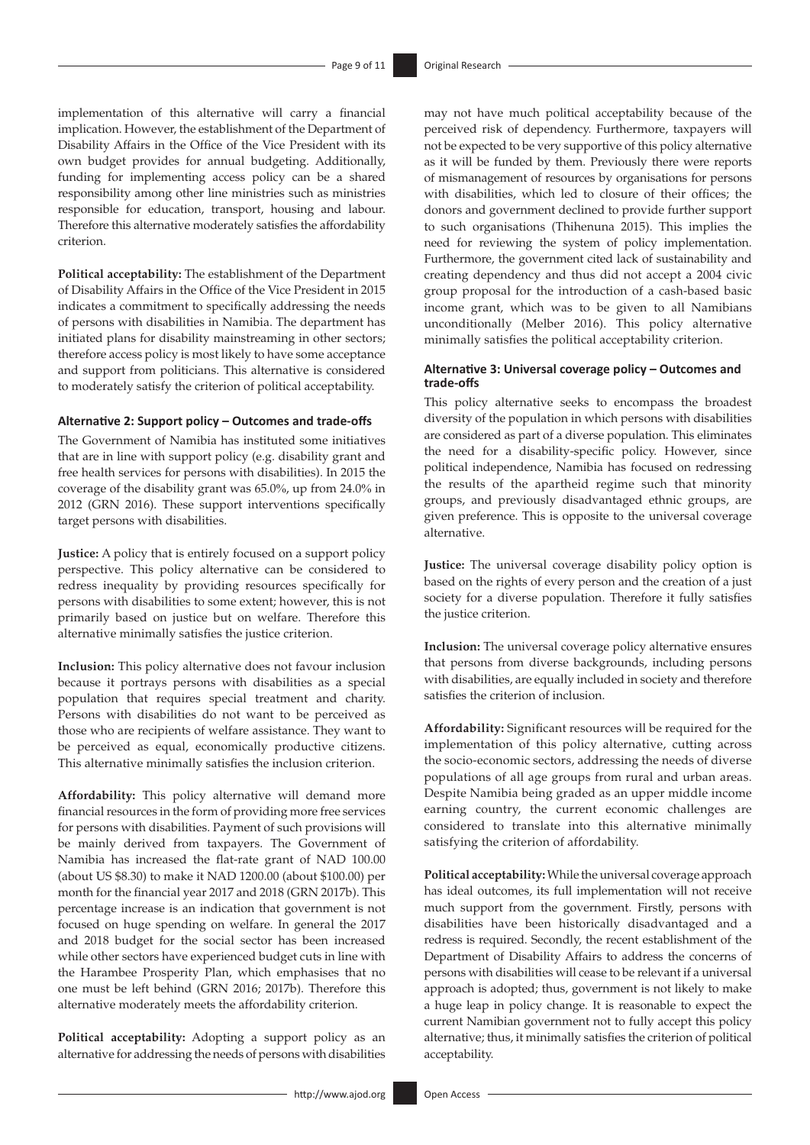implementation of this alternative will carry a financial implication. However, the establishment of the Department of Disability Affairs in the Office of the Vice President with its own budget provides for annual budgeting. Additionally, funding for implementing access policy can be a shared responsibility among other line ministries such as ministries responsible for education, transport, housing and labour. Therefore this alternative moderately satisfies the affordability criterion.

**Political acceptability:** The establishment of the Department of Disability Affairs in the Office of the Vice President in 2015 indicates a commitment to specifically addressing the needs of persons with disabilities in Namibia. The department has initiated plans for disability mainstreaming in other sectors; therefore access policy is most likely to have some acceptance and support from politicians. This alternative is considered to moderately satisfy the criterion of political acceptability.

#### **Alternative 2: Support policy – Outcomes and trade-offs**

The Government of Namibia has instituted some initiatives that are in line with support policy (e.g. disability grant and free health services for persons with disabilities). In 2015 the coverage of the disability grant was 65.0%, up from 24.0% in 2012 (GRN 2016). These support interventions specifically target persons with disabilities.

**Justice:** A policy that is entirely focused on a support policy perspective. This policy alternative can be considered to redress inequality by providing resources specifically for persons with disabilities to some extent; however, this is not primarily based on justice but on welfare. Therefore this alternative minimally satisfies the justice criterion.

**Inclusion:** This policy alternative does not favour inclusion because it portrays persons with disabilities as a special population that requires special treatment and charity. Persons with disabilities do not want to be perceived as those who are recipients of welfare assistance. They want to be perceived as equal, economically productive citizens. This alternative minimally satisfies the inclusion criterion.

**Affordability:** This policy alternative will demand more financial resources in the form of providing more free services for persons with disabilities. Payment of such provisions will be mainly derived from taxpayers. The Government of Namibia has increased the flat-rate grant of NAD 100.00 (about US \$8.30) to make it NAD 1200.00 (about \$100.00) per month for the financial year 2017 and 2018 (GRN 2017b). This percentage increase is an indication that government is not focused on huge spending on welfare. In general the 2017 and 2018 budget for the social sector has been increased while other sectors have experienced budget cuts in line with the Harambee Prosperity Plan, which emphasises that no one must be left behind (GRN 2016; 2017b). Therefore this alternative moderately meets the affordability criterion.

**Political acceptability:** Adopting a support policy as an alternative for addressing the needs of persons with disabilities

may not have much political acceptability because of the perceived risk of dependency. Furthermore, taxpayers will not be expected to be very supportive of this policy alternative as it will be funded by them. Previously there were reports of mismanagement of resources by organisations for persons with disabilities, which led to closure of their offices; the donors and government declined to provide further support to such organisations (Thihenuna 2015). This implies the need for reviewing the system of policy implementation. Furthermore, the government cited lack of sustainability and creating dependency and thus did not accept a 2004 civic group proposal for the introduction of a cash-based basic income grant, which was to be given to all Namibians unconditionally (Melber 2016). This policy alternative minimally satisfies the political acceptability criterion.

#### **Alternative 3: Universal coverage policy – Outcomes and trade-offs**

This policy alternative seeks to encompass the broadest diversity of the population in which persons with disabilities are considered as part of a diverse population. This eliminates the need for a disability-specific policy. However, since political independence, Namibia has focused on redressing the results of the apartheid regime such that minority groups, and previously disadvantaged ethnic groups, are given preference. This is opposite to the universal coverage alternative.

**Justice:** The universal coverage disability policy option is based on the rights of every person and the creation of a just society for a diverse population. Therefore it fully satisfies the justice criterion.

**Inclusion:** The universal coverage policy alternative ensures that persons from diverse backgrounds, including persons with disabilities, are equally included in society and therefore satisfies the criterion of inclusion.

**Affordability:** Significant resources will be required for the implementation of this policy alternative, cutting across the socio-economic sectors, addressing the needs of diverse populations of all age groups from rural and urban areas. Despite Namibia being graded as an upper middle income earning country, the current economic challenges are considered to translate into this alternative minimally satisfying the criterion of affordability.

**Political acceptability:** While the universal coverage approach has ideal outcomes, its full implementation will not receive much support from the government. Firstly, persons with disabilities have been historically disadvantaged and a redress is required. Secondly, the recent establishment of the Department of Disability Affairs to address the concerns of persons with disabilities will cease to be relevant if a universal approach is adopted; thus, government is not likely to make a huge leap in policy change. It is reasonable to expect the current Namibian government not to fully accept this policy alternative; thus, it minimally satisfies the criterion of political acceptability.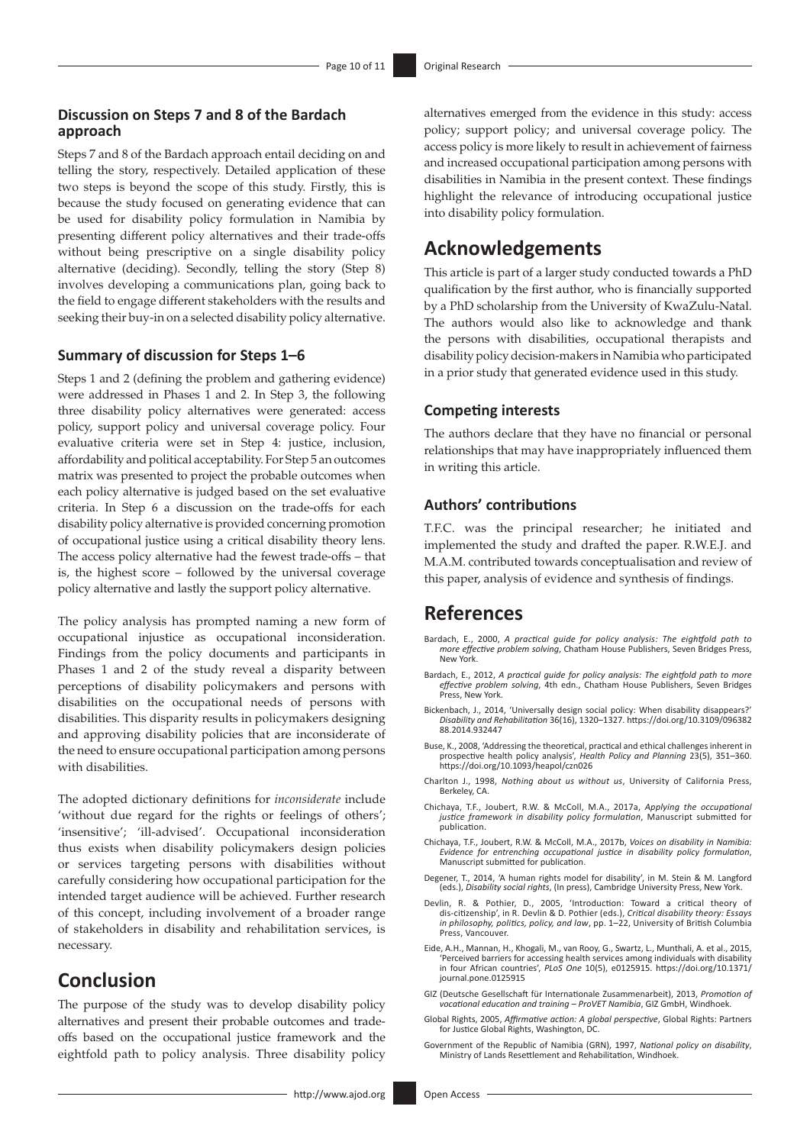## **Discussion on Steps 7 and 8 of the Bardach approach**

Steps 7 and 8 of the Bardach approach entail deciding on and telling the story, respectively. Detailed application of these two steps is beyond the scope of this study. Firstly, this is because the study focused on generating evidence that can be used for disability policy formulation in Namibia by presenting different policy alternatives and their trade-offs without being prescriptive on a single disability policy alternative (deciding). Secondly, telling the story (Step 8) involves developing a communications plan, going back to the field to engage different stakeholders with the results and seeking their buy-in on a selected disability policy alternative.

## **Summary of discussion for Steps 1–6**

Steps 1 and 2 (defining the problem and gathering evidence) were addressed in Phases 1 and 2. In Step 3, the following three disability policy alternatives were generated: access policy, support policy and universal coverage policy. Four evaluative criteria were set in Step 4: justice, inclusion, affordability and political acceptability. For Step 5 an outcomes matrix was presented to project the probable outcomes when each policy alternative is judged based on the set evaluative criteria. In Step 6 a discussion on the trade-offs for each disability policy alternative is provided concerning promotion of occupational justice using a critical disability theory lens. The access policy alternative had the fewest trade-offs – that is, the highest score – followed by the universal coverage policy alternative and lastly the support policy alternative.

The policy analysis has prompted naming a new form of occupational injustice as occupational inconsideration. Findings from the policy documents and participants in Phases 1 and 2 of the study reveal a disparity between perceptions of disability policymakers and persons with disabilities on the occupational needs of persons with disabilities. This disparity results in policymakers designing and approving disability policies that are inconsiderate of the need to ensure occupational participation among persons with disabilities.

The adopted dictionary definitions for *inconsiderate* include 'without due regard for the rights or feelings of others'; 'insensitive'; 'ill-advised'. Occupational inconsideration thus exists when disability policymakers design policies or services targeting persons with disabilities without carefully considering how occupational participation for the intended target audience will be achieved. Further research of this concept, including involvement of a broader range of stakeholders in disability and rehabilitation services, is necessary.

# **Conclusion**

The purpose of the study was to develop disability policy alternatives and present their probable outcomes and tradeoffs based on the occupational justice framework and the eightfold path to policy analysis. Three disability policy alternatives emerged from the evidence in this study: access policy; support policy; and universal coverage policy. The access policy is more likely to result in achievement of fairness and increased occupational participation among persons with disabilities in Namibia in the present context. These findings highlight the relevance of introducing occupational justice into disability policy formulation.

# **Acknowledgements**

This article is part of a larger study conducted towards a PhD qualification by the first author, who is financially supported by a PhD scholarship from the University of KwaZulu-Natal. The authors would also like to acknowledge and thank the persons with disabilities, occupational therapists and disability policy decision-makers in Namibia who participated in a prior study that generated evidence used in this study.

## **Competing interests**

The authors declare that they have no financial or personal relationships that may have inappropriately influenced them in writing this article.

## **Authors' contributions**

T.F.C. was the principal researcher; he initiated and implemented the study and drafted the paper. R.W.E.J. and M.A.M. contributed towards conceptualisation and review of this paper, analysis of evidence and synthesis of findings.

## **References**

- Bardach, E., 2000, *A practical guide for policy analysis: The eightfold path to more effective problem solving*, Chatham House Publishers, Seven Bridges Press, New York.
- Bardach, E., 2012, *A practical guide for policy analysis: The eightfold path to more effective problem solving*, 4th edn., Chatham House Publishers, Seven Bridges Press, New York.
- Bickenbach, J., 2014, 'Universally design social policy: When disability disappears?' *Disability and Rehabilitation* 36(16), 1320–1327. [https://doi.org/10.3109/096382](https://doi.org/10.3109/09638288.2014.932447) [88.2014.932447](https://doi.org/10.3109/09638288.2014.932447)
- Buse, K., 2008, 'Addressing the theoretical, practical and ethical challenges inherent in prospective health policy analysis', *Health Policy and Planning* 23(5), 351–360. <https://doi.org/10.1093/heapol/czn026>
- Charlton J., 1998, *Nothing about us without us*, University of California Press, Berkeley, CA.
- Chichaya, T.F., Joubert, R.W. & McColl, M.A., 2017a, *Applying the occupational justice framework in disability policy formulation*, Manuscript submitted for publication.
- Chichaya, T.F., Joubert, R.W. & McColl, M.A., 2017b, *Voices on disability in Namibia: Evidence for entrenching occupational justice in disability policy formulation*, Manuscript submitted for publication.
- Degener, T., 2014, 'A human rights model for disability', in M. Stein & M. Langford (eds.), *Disability social rights*, (In press), Cambridge University Press, New York.
- Devlin, R. & Pothier, D., 2005, 'Introduction: Toward a critical theory of dis-citizenship', in R. Devlin & D. Pothier (eds.), *Critical disability theory: Essays in philosophy, politics, policy, and law*, pp. 1–22, University of British Columbia Press, Vancouver.
- Eide, A.H., Mannan, H., Khogali, M., van Rooy, G., Swartz, L., Munthali, A. et al., 2015, 'Perceived barriers for accessing health services among individuals with disability in four African countries', *PLoS One* 10(5), e0125915. [https://doi.org/10.1371/](https://doi.org/10.1371/journal.pone.0125915) [journal.pone.0125915](https://doi.org/10.1371/journal.pone.0125915)
- GIZ (Deutsche Gesellschaft für Internationale Zusammenarbeit), 2013, *Promotion of vocational education and training – ProVET Namibia*, GIZ GmbH, Windhoek.
- Global Rights, 2005, *Affirmative action: A global perspective*, Global Rights: Partners for Justice Global Rights, Washington, DC.
- Government of the Republic of Namibia (GRN), 1997, *National policy on disability*, Ministry of Lands Resettlement and Rehabilitation, Windhoek.